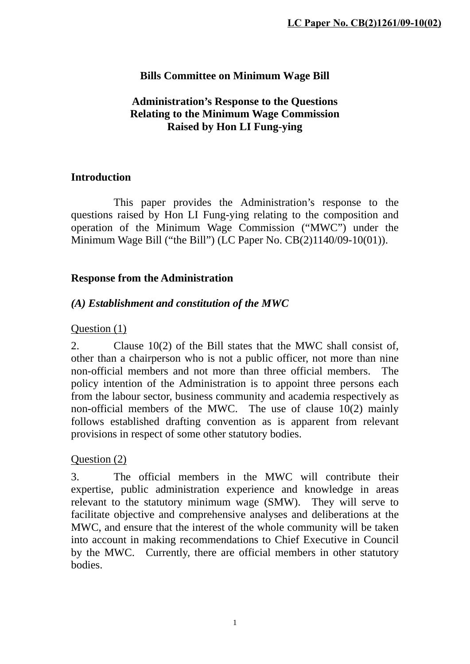## **Bills Committee on Minimum Wage Bill**

#### **Administration's Response to the Questions Relating to the Minimum Wage Commission Raised by Hon LI Fung-ying**

#### **Introduction**

 This paper provides the Administration's response to the questions raised by Hon LI Fung-ying relating to the composition and operation of the Minimum Wage Commission ("MWC") under the Minimum Wage Bill ("the Bill") (LC Paper No. CB(2)1140/09-10(01)).

### **Response from the Administration**

## *(A) Establishment and constitution of the MWC*

### Question (1)

2. Clause 10(2) of the Bill states that the MWC shall consist of, other than a chairperson who is not a public officer, not more than nine non-official members and not more than three official members. The policy intention of the Administration is to appoint three persons each from the labour sector, business community and academia respectively as non-official members of the MWC. The use of clause 10(2) mainly follows established drafting convention as is apparent from relevant provisions in respect of some other statutory bodies.

#### Question (2)

3. The official members in the MWC will contribute their expertise, public administration experience and knowledge in areas relevant to the statutory minimum wage (SMW). They will serve to facilitate objective and comprehensive analyses and deliberations at the MWC, and ensure that the interest of the whole community will be taken into account in making recommendations to Chief Executive in Council by the MWC. Currently, there are official members in other statutory bodies.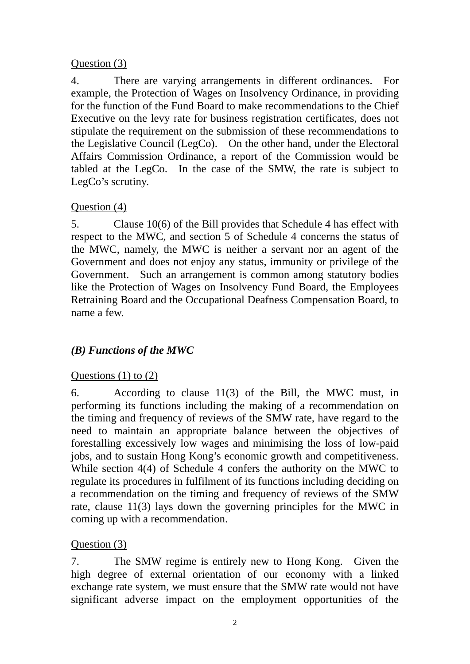### Question (3)

4. There are varying arrangements in different ordinances. For example, the Protection of Wages on Insolvency Ordinance, in providing for the function of the Fund Board to make recommendations to the Chief Executive on the levy rate for business registration certificates, does not stipulate the requirement on the submission of these recommendations to the Legislative Council (LegCo). On the other hand, under the Electoral Affairs Commission Ordinance, a report of the Commission would be tabled at the LegCo. In the case of the SMW, the rate is subject to LegCo's scrutiny.

## Question (4)

5. Clause 10(6) of the Bill provides that Schedule 4 has effect with respect to the MWC, and section 5 of Schedule 4 concerns the status of the MWC, namely, the MWC is neither a servant nor an agent of the Government and does not enjoy any status, immunity or privilege of the Government. Such an arrangement is common among statutory bodies like the Protection of Wages on Insolvency Fund Board, the Employees Retraining Board and the Occupational Deafness Compensation Board, to name a few.

# *(B) Functions of the MWC*

## Questions  $(1)$  to  $(2)$

6. According to clause 11(3) of the Bill, the MWC must, in performing its functions including the making of a recommendation on the timing and frequency of reviews of the SMW rate, have regard to the need to maintain an appropriate balance between the objectives of forestalling excessively low wages and minimising the loss of low-paid jobs, and to sustain Hong Kong's economic growth and competitiveness. While section 4(4) of Schedule 4 confers the authority on the MWC to regulate its procedures in fulfilment of its functions including deciding on a recommendation on the timing and frequency of reviews of the SMW rate, clause 11(3) lays down the governing principles for the MWC in coming up with a recommendation.

## Question (3)

7. The SMW regime is entirely new to Hong Kong. Given the high degree of external orientation of our economy with a linked exchange rate system, we must ensure that the SMW rate would not have significant adverse impact on the employment opportunities of the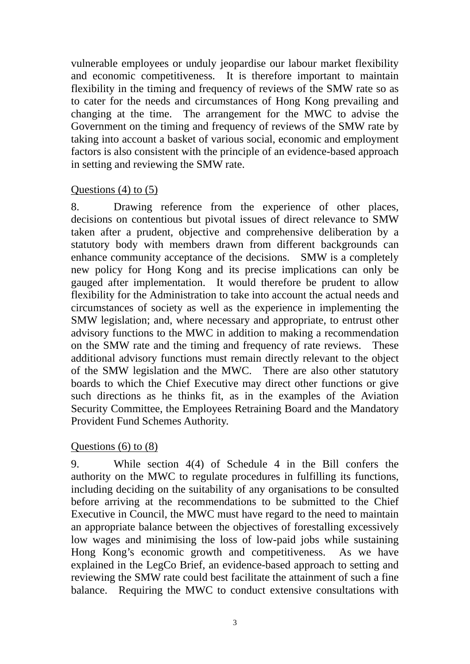vulnerable employees or unduly jeopardise our labour market flexibility and economic competitiveness. It is therefore important to maintain flexibility in the timing and frequency of reviews of the SMW rate so as to cater for the needs and circumstances of Hong Kong prevailing and changing at the time. The arrangement for the MWC to advise the Government on the timing and frequency of reviews of the SMW rate by taking into account a basket of various social, economic and employment factors is also consistent with the principle of an evidence-based approach in setting and reviewing the SMW rate.

#### Questions  $(4)$  to  $(5)$

8. Drawing reference from the experience of other places, decisions on contentious but pivotal issues of direct relevance to SMW taken after a prudent, objective and comprehensive deliberation by a statutory body with members drawn from different backgrounds can enhance community acceptance of the decisions. SMW is a completely new policy for Hong Kong and its precise implications can only be gauged after implementation. It would therefore be prudent to allow flexibility for the Administration to take into account the actual needs and circumstances of society as well as the experience in implementing the SMW legislation; and, where necessary and appropriate, to entrust other advisory functions to the MWC in addition to making a recommendation on the SMW rate and the timing and frequency of rate reviews. These additional advisory functions must remain directly relevant to the object of the SMW legislation and the MWC. There are also other statutory boards to which the Chief Executive may direct other functions or give such directions as he thinks fit, as in the examples of the Aviation Security Committee, the Employees Retraining Board and the Mandatory Provident Fund Schemes Authority.

#### Questions  $(6)$  to  $(8)$

9. While section 4(4) of Schedule 4 in the Bill confers the authority on the MWC to regulate procedures in fulfilling its functions, including deciding on the suitability of any organisations to be consulted before arriving at the recommendations to be submitted to the Chief Executive in Council, the MWC must have regard to the need to maintain an appropriate balance between the objectives of forestalling excessively low wages and minimising the loss of low-paid jobs while sustaining Hong Kong's economic growth and competitiveness. As we have explained in the LegCo Brief, an evidence-based approach to setting and reviewing the SMW rate could best facilitate the attainment of such a fine balance. Requiring the MWC to conduct extensive consultations with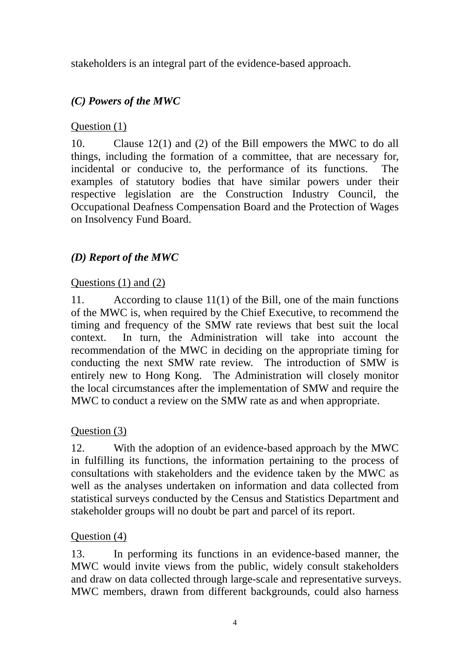stakeholders is an integral part of the evidence-based approach.

# *(C) Powers of the MWC*

## Question (1)

10. Clause 12(1) and (2) of the Bill empowers the MWC to do all things, including the formation of a committee, that are necessary for, incidental or conducive to, the performance of its functions. The examples of statutory bodies that have similar powers under their respective legislation are the Construction Industry Council, the Occupational Deafness Compensation Board and the Protection of Wages on Insolvency Fund Board.

# *(D) Report of the MWC*

## Ouestions  $(1)$  and  $(2)$

11. According to clause 11(1) of the Bill, one of the main functions of the MWC is, when required by the Chief Executive, to recommend the timing and frequency of the SMW rate reviews that best suit the local context. In turn, the Administration will take into account the recommendation of the MWC in deciding on the appropriate timing for conducting the next SMW rate review. The introduction of SMW is entirely new to Hong Kong. The Administration will closely monitor the local circumstances after the implementation of SMW and require the MWC to conduct a review on the SMW rate as and when appropriate.

## Question (3)

12. With the adoption of an evidence-based approach by the MWC in fulfilling its functions, the information pertaining to the process of consultations with stakeholders and the evidence taken by the MWC as well as the analyses undertaken on information and data collected from statistical surveys conducted by the Census and Statistics Department and stakeholder groups will no doubt be part and parcel of its report.

## Question (4)

13. In performing its functions in an evidence-based manner, the MWC would invite views from the public, widely consult stakeholders and draw on data collected through large-scale and representative surveys. MWC members, drawn from different backgrounds, could also harness